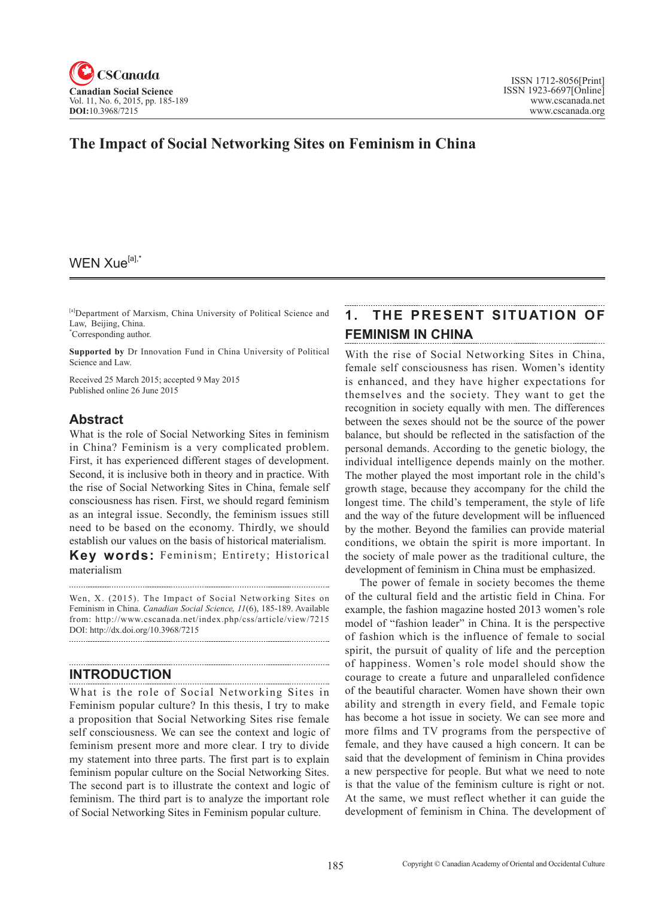

# **The Impact of Social Networking Sites on Feminism in China**

## WEN Xue<sup>[a],\*</sup>

[a]Department of Marxism, China University of Political Science and Law, Beijing, China. \* Corresponding author.

**Supported by** Dr Innovation Fund in China University of Political Science and Law.

Received 25 March 2015; accepted 9 May 2015 Published online 26 June 2015

### **Abstract**

What is the role of Social Networking Sites in feminism in China? Feminism is a very complicated problem. First, it has experienced different stages of development. Second, it is inclusive both in theory and in practice. With the rise of Social Networking Sites in China, female self consciousness has risen. First, we should regard feminism as an integral issue. Secondly, the feminism issues still need to be based on the economy. Thirdly, we should establish our values on the basis of historical materialism. **Key words:** Feminism; Entirety; Historical

materialism

Wen, X. (2015). The Impact of Social Networking Sites on Feminism in China. *Canadian Social Science*, <sup>11</sup>(6), 185-189. Available from: http://www.cscanada.net/index.php/css/article/view/7215 DOI: http://dx.doi.org/10.3968/7215

### **INTRODUCTION**

What is the role of Social Networking Sites in Feminism popular culture? In this thesis, I try to make a proposition that Social Networking Sites rise female self consciousness. We can see the context and logic of feminism present more and more clear. I try to divide my statement into three parts. The first part is to explain feminism popular culture on the Social Networking Sites. The second part is to illustrate the context and logic of feminism. The third part is to analyze the important role of Social Networking Sites in Feminism popular culture.

# **1. THE PRESENT SITUATION OF FEMINISM IN CHINA**

With the rise of Social Networking Sites in China, female self consciousness has risen. Women's identity is enhanced, and they have higher expectations for themselves and the society. They want to get the recognition in society equally with men. The differences between the sexes should not be the source of the power balance, but should be reflected in the satisfaction of the personal demands. According to the genetic biology, the individual intelligence depends mainly on the mother. The mother played the most important role in the child's growth stage, because they accompany for the child the longest time. The child's temperament, the style of life and the way of the future development will be influenced by the mother. Beyond the families can provide material conditions, we obtain the spirit is more important. In the society of male power as the traditional culture, the development of feminism in China must be emphasized.

The power of female in society becomes the theme of the cultural field and the artistic field in China. For example, the fashion magazine hosted 2013 women's role model of "fashion leader" in China. It is the perspective of fashion which is the influence of female to social spirit, the pursuit of quality of life and the perception of happiness. Women's role model should show the courage to create a future and unparalleled confidence of the beautiful character. Women have shown their own ability and strength in every field, and Female topic has become a hot issue in society. We can see more and more films and TV programs from the perspective of female, and they have caused a high concern. It can be said that the development of feminism in China provides a new perspective for people. But what we need to note is that the value of the feminism culture is right or not. At the same, we must reflect whether it can guide the development of feminism in China. The development of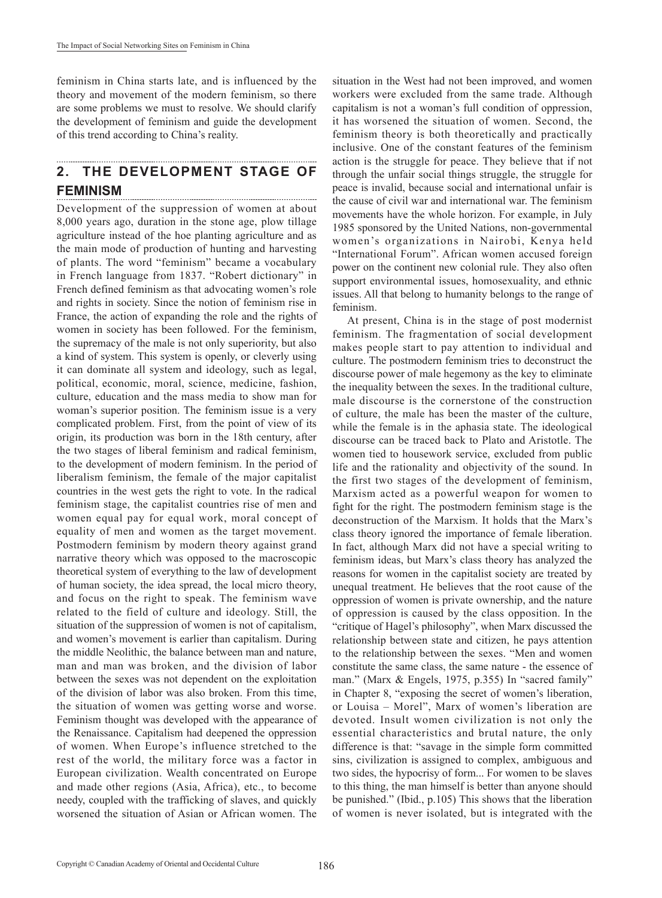feminism in China starts late, and is influenced by the theory and movement of the modern feminism, so there are some problems we must to resolve. We should clarify the development of feminism and guide the development of this trend according to China's reality.

#### **2. THE DEVELOPMENT STAGE OF FEMINISM**

Development of the suppression of women at about 8,000 years ago, duration in the stone age, plow tillage agriculture instead of the hoe planting agriculture and as the main mode of production of hunting and harvesting of plants. The word "feminism" became a vocabulary in French language from 1837. "Robert dictionary" in French defined feminism as that advocating women's role and rights in society. Since the notion of feminism rise in France, the action of expanding the role and the rights of women in society has been followed. For the feminism, the supremacy of the male is not only superiority, but also a kind of system. This system is openly, or cleverly using it can dominate all system and ideology, such as legal, political, economic, moral, science, medicine, fashion, culture, education and the mass media to show man for woman's superior position. The feminism issue is a very complicated problem. First, from the point of view of its origin, its production was born in the 18th century, after the two stages of liberal feminism and radical feminism, to the development of modern feminism. In the period of liberalism feminism, the female of the major capitalist countries in the west gets the right to vote. In the radical feminism stage, the capitalist countries rise of men and women equal pay for equal work, moral concept of equality of men and women as the target movement. Postmodern feminism by modern theory against grand narrative theory which was opposed to the macroscopic theoretical system of everything to the law of development of human society, the idea spread, the local micro theory, and focus on the right to speak. The feminism wave related to the field of culture and ideology. Still, the situation of the suppression of women is not of capitalism, and women's movement is earlier than capitalism. During the middle Neolithic, the balance between man and nature, man and man was broken, and the division of labor between the sexes was not dependent on the exploitation of the division of labor was also broken. From this time, the situation of women was getting worse and worse. Feminism thought was developed with the appearance of the Renaissance. Capitalism had deepened the oppression of women. When Europe's influence stretched to the rest of the world, the military force was a factor in European civilization. Wealth concentrated on Europe and made other regions (Asia, Africa), etc., to become needy, coupled with the trafficking of slaves, and quickly worsened the situation of Asian or African women. The

situation in the West had not been improved, and women workers were excluded from the same trade. Although capitalism is not a woman's full condition of oppression, it has worsened the situation of women. Second, the feminism theory is both theoretically and practically inclusive. One of the constant features of the feminism action is the struggle for peace. They believe that if not through the unfair social things struggle, the struggle for peace is invalid, because social and international unfair is the cause of civil war and international war. The feminism movements have the whole horizon. For example, in July 1985 sponsored by the United Nations, non-governmental women's organizations in Nairobi, Kenya held "International Forum". African women accused foreign power on the continent new colonial rule. They also often support environmental issues, homosexuality, and ethnic issues. All that belong to humanity belongs to the range of feminism.

At present, China is in the stage of post modernist feminism. The fragmentation of social development makes people start to pay attention to individual and culture. The postmodern feminism tries to deconstruct the discourse power of male hegemony as the key to eliminate the inequality between the sexes. In the traditional culture, male discourse is the cornerstone of the construction of culture, the male has been the master of the culture, while the female is in the aphasia state. The ideological discourse can be traced back to Plato and Aristotle. The women tied to housework service, excluded from public life and the rationality and objectivity of the sound. In the first two stages of the development of feminism, Marxism acted as a powerful weapon for women to fight for the right. The postmodern feminism stage is the deconstruction of the Marxism. It holds that the Marx's class theory ignored the importance of female liberation. In fact, although Marx did not have a special writing to feminism ideas, but Marx's class theory has analyzed the reasons for women in the capitalist society are treated by unequal treatment. He believes that the root cause of the oppression of women is private ownership, and the nature of oppression is caused by the class opposition. In the "critique of Hagel's philosophy", when Marx discussed the relationship between state and citizen, he pays attention to the relationship between the sexes. "Men and women constitute the same class, the same nature - the essence of man." (Marx & Engels, 1975, p.355) In "sacred family" in Chapter 8, "exposing the secret of women's liberation, or Louisa – Morel", Marx of women's liberation are devoted. Insult women civilization is not only the essential characteristics and brutal nature, the only difference is that: "savage in the simple form committed sins, civilization is assigned to complex, ambiguous and two sides, the hypocrisy of form... For women to be slaves to this thing, the man himself is better than anyone should be punished." (Ibid., p.105) This shows that the liberation of women is never isolated, but is integrated with the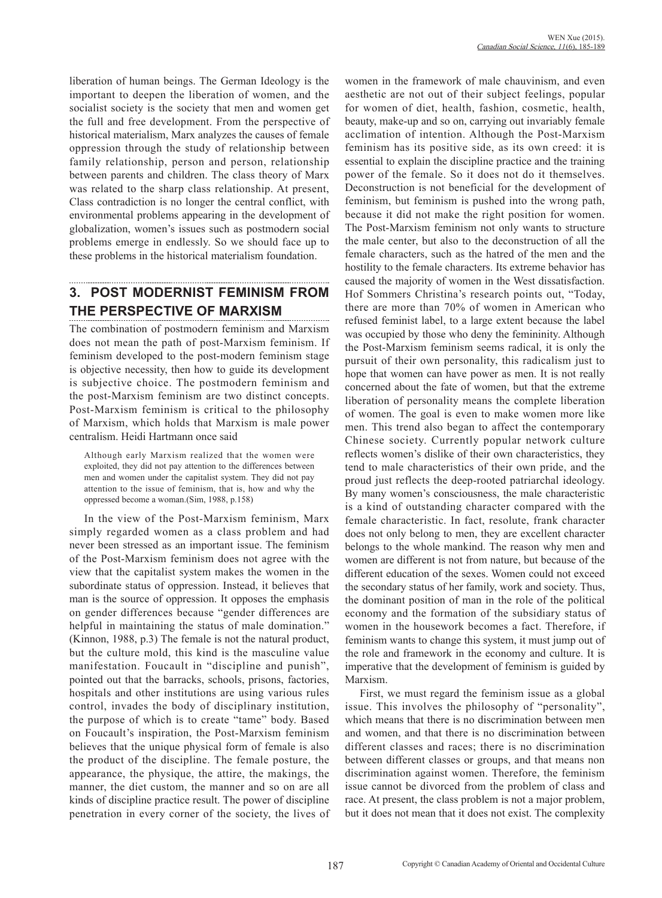liberation of human beings. The German Ideology is the important to deepen the liberation of women, and the socialist society is the society that men and women get the full and free development. From the perspective of historical materialism, Marx analyzes the causes of female oppression through the study of relationship between family relationship, person and person, relationship between parents and children. The class theory of Marx was related to the sharp class relationship. At present, Class contradiction is no longer the central conflict, with environmental problems appearing in the development of globalization, women's issues such as postmodern social problems emerge in endlessly. So we should face up to these problems in the historical materialism foundation.

# **3. POST MODERNIST FEMINISM FROM THE PERSPECTIVE OF MARXISM**

The combination of postmodern feminism and Marxism does not mean the path of post-Marxism feminism. If feminism developed to the post-modern feminism stage is objective necessity, then how to guide its development is subjective choice. The postmodern feminism and the post-Marxism feminism are two distinct concepts. Post-Marxism feminism is critical to the philosophy of Marxism, which holds that Marxism is male power centralism. Heidi Hartmann once said

Although early Marxism realized that the women were exploited, they did not pay attention to the differences between men and women under the capitalist system. They did not pay attention to the issue of feminism, that is, how and why the oppressed become a woman.(Sim, 1988, p.158)

In the view of the Post-Marxism feminism, Marx simply regarded women as a class problem and had never been stressed as an important issue. The feminism of the Post-Marxism feminism does not agree with the view that the capitalist system makes the women in the subordinate status of oppression. Instead, it believes that man is the source of oppression. It opposes the emphasis on gender differences because "gender differences are helpful in maintaining the status of male domination." (Kinnon, 1988, p.3) The female is not the natural product, but the culture mold, this kind is the masculine value manifestation. Foucault in "discipline and punish", pointed out that the barracks, schools, prisons, factories, hospitals and other institutions are using various rules control, invades the body of disciplinary institution, the purpose of which is to create "tame" body. Based on Foucault's inspiration, the Post-Marxism feminism believes that the unique physical form of female is also the product of the discipline. The female posture, the appearance, the physique, the attire, the makings, the manner, the diet custom, the manner and so on are all kinds of discipline practice result. The power of discipline penetration in every corner of the society, the lives of women in the framework of male chauvinism, and even aesthetic are not out of their subject feelings, popular for women of diet, health, fashion, cosmetic, health, beauty, make-up and so on, carrying out invariably female acclimation of intention. Although the Post-Marxism feminism has its positive side, as its own creed: it is essential to explain the discipline practice and the training power of the female. So it does not do it themselves. Deconstruction is not beneficial for the development of feminism, but feminism is pushed into the wrong path, because it did not make the right position for women. The Post-Marxism feminism not only wants to structure the male center, but also to the deconstruction of all the female characters, such as the hatred of the men and the hostility to the female characters. Its extreme behavior has caused the majority of women in the West dissatisfaction. Hof Sommers Christina's research points out, "Today, there are more than 70% of women in American who refused feminist label, to a large extent because the label was occupied by those who deny the femininity. Although the Post-Marxism feminism seems radical, it is only the pursuit of their own personality, this radicalism just to hope that women can have power as men. It is not really concerned about the fate of women, but that the extreme liberation of personality means the complete liberation of women. The goal is even to make women more like men. This trend also began to affect the contemporary Chinese society. Currently popular network culture reflects women's dislike of their own characteristics, they tend to male characteristics of their own pride, and the proud just reflects the deep-rooted patriarchal ideology. By many women's consciousness, the male characteristic is a kind of outstanding character compared with the female characteristic. In fact, resolute, frank character does not only belong to men, they are excellent character belongs to the whole mankind. The reason why men and women are different is not from nature, but because of the different education of the sexes. Women could not exceed the secondary status of her family, work and society. Thus, the dominant position of man in the role of the political economy and the formation of the subsidiary status of women in the housework becomes a fact. Therefore, if feminism wants to change this system, it must jump out of the role and framework in the economy and culture. It is imperative that the development of feminism is guided by Marxism.

First, we must regard the feminism issue as a global issue. This involves the philosophy of "personality", which means that there is no discrimination between men and women, and that there is no discrimination between different classes and races; there is no discrimination between different classes or groups, and that means non discrimination against women. Therefore, the feminism issue cannot be divorced from the problem of class and race. At present, the class problem is not a major problem, but it does not mean that it does not exist. The complexity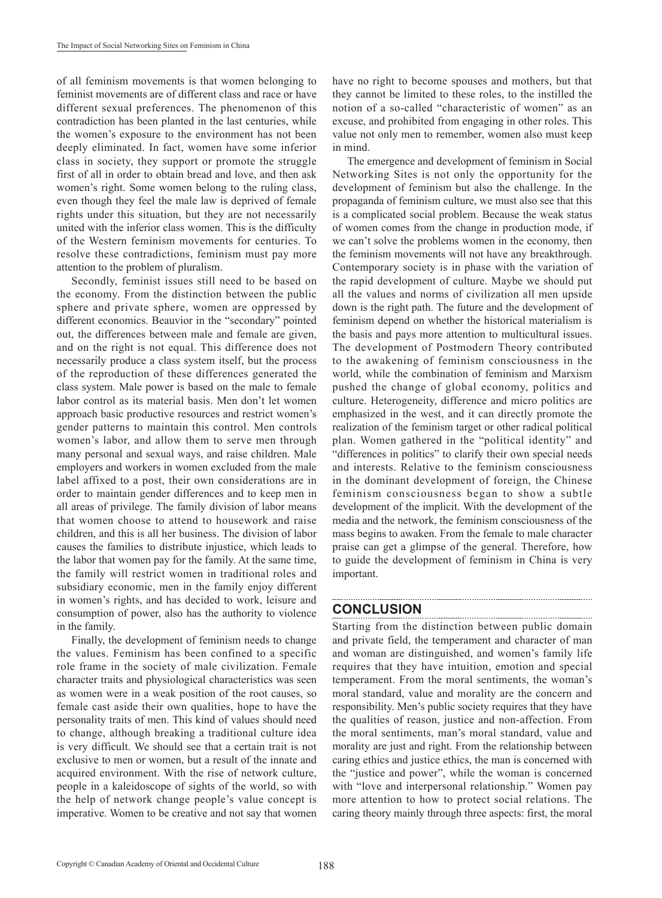of all feminism movements is that women belonging to feminist movements are of different class and race or have different sexual preferences. The phenomenon of this contradiction has been planted in the last centuries, while the women's exposure to the environment has not been deeply eliminated. In fact, women have some inferior class in society, they support or promote the struggle first of all in order to obtain bread and love, and then ask women's right. Some women belong to the ruling class, even though they feel the male law is deprived of female rights under this situation, but they are not necessarily united with the inferior class women. This is the difficulty of the Western feminism movements for centuries. To resolve these contradictions, feminism must pay more attention to the problem of pluralism.

Secondly, feminist issues still need to be based on the economy. From the distinction between the public sphere and private sphere, women are oppressed by different economics. Beauvior in the "secondary" pointed out, the differences between male and female are given, and on the right is not equal. This difference does not necessarily produce a class system itself, but the process of the reproduction of these differences generated the class system. Male power is based on the male to female labor control as its material basis. Men don't let women approach basic productive resources and restrict women's gender patterns to maintain this control. Men controls women's labor, and allow them to serve men through many personal and sexual ways, and raise children. Male employers and workers in women excluded from the male label affixed to a post, their own considerations are in order to maintain gender differences and to keep men in all areas of privilege. The family division of labor means that women choose to attend to housework and raise children, and this is all her business. The division of labor causes the families to distribute injustice, which leads to the labor that women pay for the family. At the same time, the family will restrict women in traditional roles and subsidiary economic, men in the family enjoy different in women's rights, and has decided to work, leisure and consumption of power, also has the authority to violence in the family.

Finally, the development of feminism needs to change the values. Feminism has been confined to a specific role frame in the society of male civilization. Female character traits and physiological characteristics was seen as women were in a weak position of the root causes, so female cast aside their own qualities, hope to have the personality traits of men. This kind of values should need to change, although breaking a traditional culture idea is very difficult. We should see that a certain trait is not exclusive to men or women, but a result of the innate and acquired environment. With the rise of network culture, people in a kaleidoscope of sights of the world, so with the help of network change people's value concept is imperative. Women to be creative and not say that women have no right to become spouses and mothers, but that they cannot be limited to these roles, to the instilled the notion of a so-called "characteristic of women" as an excuse, and prohibited from engaging in other roles. This value not only men to remember, women also must keep in mind.

The emergence and development of feminism in Social Networking Sites is not only the opportunity for the development of feminism but also the challenge. In the propaganda of feminism culture, we must also see that this is a complicated social problem. Because the weak status of women comes from the change in production mode, if we can't solve the problems women in the economy, then the feminism movements will not have any breakthrough. Contemporary society is in phase with the variation of the rapid development of culture. Maybe we should put all the values and norms of civilization all men upside down is the right path. The future and the development of feminism depend on whether the historical materialism is the basis and pays more attention to multicultural issues. The development of Postmodern Theory contributed to the awakening of feminism consciousness in the world, while the combination of feminism and Marxism pushed the change of global economy, politics and culture. Heterogeneity, difference and micro politics are emphasized in the west, and it can directly promote the realization of the feminism target or other radical political plan. Women gathered in the "political identity" and "differences in politics" to clarify their own special needs and interests. Relative to the feminism consciousness in the dominant development of foreign, the Chinese feminism consciousness began to show a subtle development of the implicit. With the development of the media and the network, the feminism consciousness of the mass begins to awaken. From the female to male character praise can get a glimpse of the general. Therefore, how to guide the development of feminism in China is very important.

### **CONCLUSION**

Starting from the distinction between public domain and private field, the temperament and character of man and woman are distinguished, and women's family life requires that they have intuition, emotion and special temperament. From the moral sentiments, the woman's moral standard, value and morality are the concern and responsibility. Men's public society requires that they have the qualities of reason, justice and non-affection. From the moral sentiments, man's moral standard, value and morality are just and right. From the relationship between caring ethics and justice ethics, the man is concerned with the "justice and power", while the woman is concerned with "love and interpersonal relationship." Women pay more attention to how to protect social relations. The caring theory mainly through three aspects: first, the moral